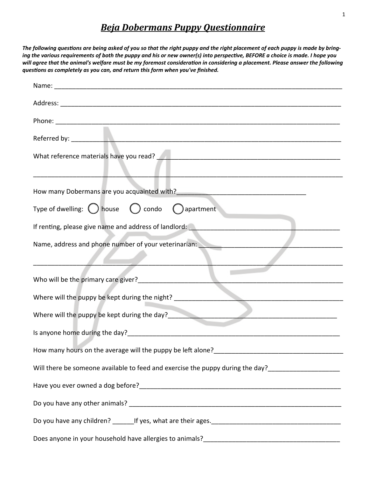## *Beja Dobermans Puppy Questionnaire*

*The following questions are being asked of you so that the right puppy and the right placement of each puppy is made by bringing the various requirements of both the puppy and his or new owner(s) into perspective, BEFORE a choice is made. I hope you will agree that the animal's welfare must be my foremost consideration in considering a placement. Please answer the following questions as completely as you can, and return this form when you've finished.* 

| Type of dwelling: $\bigcirc$ house $\bigcirc$ condo $\bigcirc$ apartment                                                                   |
|--------------------------------------------------------------------------------------------------------------------------------------------|
|                                                                                                                                            |
| Name, address and phone number of your veterinarian: Name Name All Alexander Alexander Alexander Alexander Alex                            |
|                                                                                                                                            |
|                                                                                                                                            |
|                                                                                                                                            |
| Where will the puppy be kept during the day?<br>Month and the puppy be kept during the day?<br>Month and the puppy be kept during the day? |
|                                                                                                                                            |
|                                                                                                                                            |
| Will there be someone available to feed and exercise the puppy during the day?_____________________                                        |
|                                                                                                                                            |
|                                                                                                                                            |
|                                                                                                                                            |
|                                                                                                                                            |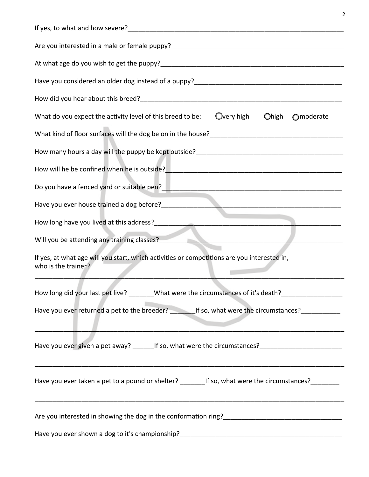| What do you expect the activity level of this breed to be:<br>○ Overy high ● Ohigh ● Omoderate                                                                                                                                    |
|-----------------------------------------------------------------------------------------------------------------------------------------------------------------------------------------------------------------------------------|
|                                                                                                                                                                                                                                   |
|                                                                                                                                                                                                                                   |
|                                                                                                                                                                                                                                   |
|                                                                                                                                                                                                                                   |
|                                                                                                                                                                                                                                   |
|                                                                                                                                                                                                                                   |
| Will you be attending any training classes?<br>Mill you be attending any training classes?<br>Mill you be attending any training classes?                                                                                         |
| If yes, at what age will you start, which activities or competitions are you interested in,<br>who is the trainer?                                                                                                                |
| How long did your last pet live? _______What were the circumstances of it's death? ________________                                                                                                                               |
| Have you ever returned a pet to the breeder? ________If so, what were the circumstances? ___________                                                                                                                              |
| Have you ever given a pet away? ________If so, what were the circumstances?___________________________________                                                                                                                    |
| Have you ever taken a pet to a pound or shelter? _________ If so, what were the circumstances? _________<br><u> 1989 - Johann Stoff, deutscher Stoff, der Stoff, der Stoff, der Stoff, der Stoff, der Stoff, der Stoff, der S</u> |
|                                                                                                                                                                                                                                   |
|                                                                                                                                                                                                                                   |

2